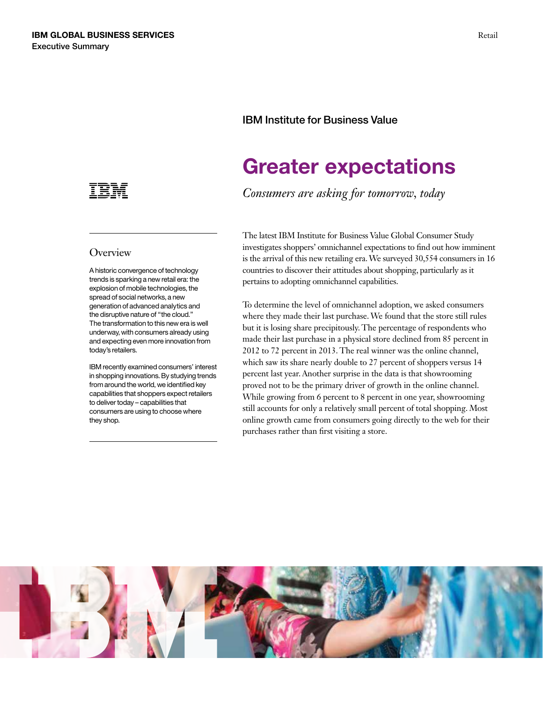

### **Overview**

A historic convergence of technology trends is sparking a new retail era: the explosion of mobile technologies, the spread of social networks, a new generation of advanced analytics and the disruptive nature of "the cloud." The transformation to this new era is well underway, with consumers already using and expecting even more innovation from today's retailers.

IBM recently examined consumers' interest in shopping innovations. By studying trends from around the world, we identified key capabilities that shoppers expect retailers to deliver today – capabilities that consumers are using to choose where they shop.

## IBM Institute for Business Value

# Greater expectations

*Consumers are asking for tomorrow, today* 

The latest IBM Institute for Business Value Global Consumer Study investigates shoppers' omnichannel expectations to find out how imminent is the arrival of this new retailing era. We surveyed 30,554 consumers in 16 countries to discover their attitudes about shopping, particularly as it pertains to adopting omnichannel capabilities.

 proved not to be the primary driver of growth in the online channel. To determine the level of omnichannel adoption, we asked consumers where they made their last purchase. We found that the store still rules but it is losing share precipitously. The percentage of respondents who made their last purchase in a physical store declined from 85 percent in 2012 to 72 percent in 2013. The real winner was the online channel, which saw its share nearly double to 27 percent of shoppers versus 14 percent last year. Another surprise in the data is that showrooming While growing from 6 percent to 8 percent in one year, showrooming still accounts for only a relatively small percent of total shopping. Most online growth came from consumers going directly to the web for their purchases rather than first visiting a store.

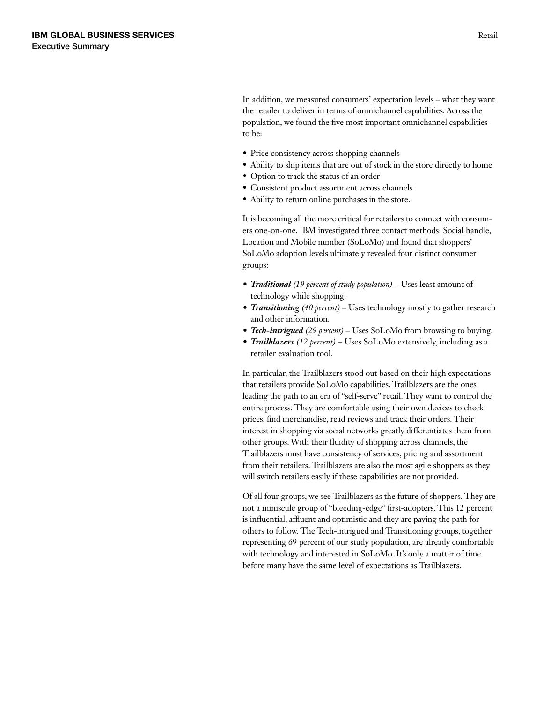the retailer to deliver in terms of omnichannel capabilities. Across the In addition, we measured consumers' expectation levels – what they want population, we found the five most important omnichannel capabilities to be:

- Price consistency across shopping channels
- Ability to ship items that are out of stock in the store directly to home
- • Option to track the status of an order
- • Consistent product assortment across channels
- Ability to return online purchases in the store.

It is becoming all the more critical for retailers to connect with consumers one-on-one. IBM investigated three contact methods: Social handle, Location and Mobile number (SoLoMo) and found that shoppers' SoLoMo adoption levels ultimately revealed four distinct consumer groups:

- *• Traditional (19 percent of study population)* Uses least amount of technology while shopping.
- *• Transitioning (40 percent)* Uses technology mostly to gather research and other information.
- *• Tech-intrigued (29 percent)* Uses SoLoMo from browsing to buying.
- *• Trailblazers (12 percent)* Uses SoLoMo extensively, including as a retailer evaluation tool.

 prices, find merchandise, read reviews and track their orders. Their In particular, the Trailblazers stood out based on their high expectations that retailers provide SoLoMo capabilities. Trailblazers are the ones leading the path to an era of "self-serve" retail. They want to control the entire process. They are comfortable using their own devices to check interest in shopping via social networks greatly differentiates them from other groups. With their fluidity of shopping across channels, the Trailblazers must have consistency of services, pricing and assortment from their retailers. Trailblazers are also the most agile shoppers as they will switch retailers easily if these capabilities are not provided.

 Of all four groups, we see Trailblazers as the future of shoppers. They are not a miniscule group of "bleeding-edge" first-adopters. This 12 percent is influential, affluent and optimistic and they are paving the path for others to follow. The Tech-intrigued and Transitioning groups, together representing 69 percent of our study population, are already comfortable with technology and interested in SoLoMo. It's only a matter of time before many have the same level of expectations as Trailblazers.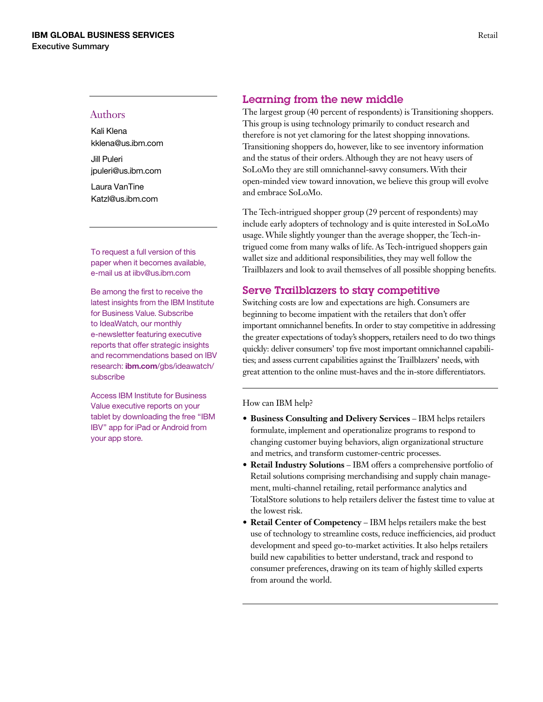#### Authors

Kali Klena [kklena@us.ibm.com](mailto:kklena@us.ibm.com)

Jill Puleri [jpuleri@us.ibm.com](mailto:jpuleri@us.ibm.com) 

Laura VanTine [Katzl@us.ibm.com](mailto:Katzl@us.ibm.com)

To request a full version of this paper when it becomes available, e-mail us at [iibv@us.ibm.com](mailto:iibv@us.ibm.com) 

Be among the first to receive the latest insights from the IBM Institute for Business Value. Subscribe to IdeaWatch, our monthly e-newsletter featuring executive reports that offer strategic insights and recommendations based on IBV research: **ibm.com**[/gbs/ideawatch/](ibm.com/gbs/ideawatch/subscribe) [subscribe](ibm.com/gbs/ideawatch/subscribe) 

Access IBM Institute for Business Value executive reports on your tablet by downloading the free "IBM IBV" app for iPad or Android from your app store.

## Learning from the new middle

 SoLoMo they are still omnichannel-savvy consumers. With their The largest group (40 percent of respondents) is Transitioning shoppers. This group is using technology primarily to conduct research and therefore is not yet clamoring for the latest shopping innovations. Transitioning shoppers do, however, like to see inventory information and the status of their orders. Although they are not heavy users of open-minded view toward innovation, we believe this group will evolve and embrace SoLoMo.

trigued come from many walks of life. As Tech-intrigued shoppers gain The Tech-intrigued shopper group (29 percent of respondents) may include early adopters of technology and is quite interested in SoLoMo usage. While slightly younger than the average shopper, the Tech-inwallet size and additional responsibilities, they may well follow the Trailblazers and look to avail themselves of all possible shopping benefits.

## Serve Trailblazers to stay competitive

Switching costs are low and expectations are high. Consumers are beginning to become impatient with the retailers that don't offer important omnichannel benefits. In order to stay competitive in addressing the greater expectations of today's shoppers, retailers need to do two things quickly: deliver consumers' top five most important omnichannel capabilities; and assess current capabilities against the Trailblazers' needs, with great attention to the online must-haves and the in-store differentiators.

#### How can IBM help?

- Business Consulting and Delivery Services IBM helps retailers formulate, implement and operationalize programs to respond to changing customer buying behaviors, align organizational structure and metrics, and transform customer-centric processes.
- **Retail Industry Solutions** IBM offers a comprehensive portfolio of Retail solutions comprising merchandising and supply chain management, multi-channel retailing, retail performance analytics and TotalStore solutions to help retailers deliver the fastest time to value at the lowest risk.
- **Retail Center of Competency** IBM helps retailers make the best use of technology to streamline costs, reduce inefficiencies, aid product development and speed go-to-market activities. It also helps retailers build new capabilities to better understand, track and respond to consumer preferences, drawing on its team of highly skilled experts from around the world.